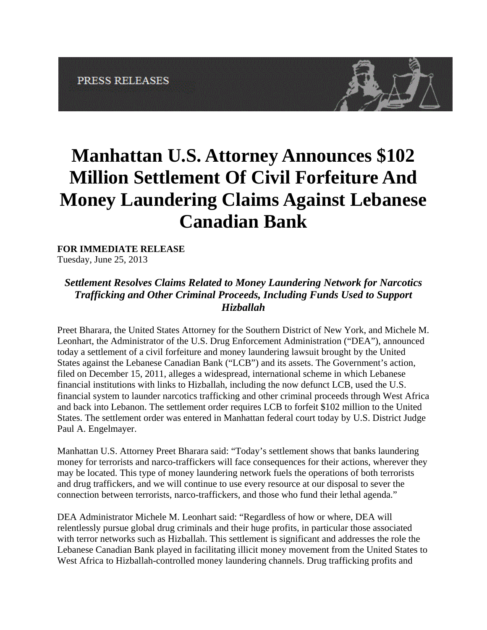

## **Manhattan U.S. Attorney Announces \$102 Million Settlement Of Civil Forfeiture And Money Laundering Claims Against Lebanese Canadian Bank**

## **FOR IMMEDIATE RELEASE**

Tuesday, June 25, 2013

## *Settlement Resolves Claims Related to Money Laundering Network for Narcotics Trafficking and Other Criminal Proceeds, Including Funds Used to Support Hizballah*

Preet Bharara, the United States Attorney for the Southern District of New York, and Michele M. Leonhart, the Administrator of the U.S. Drug Enforcement Administration ("DEA"), announced today a settlement of a civil forfeiture and money laundering lawsuit brought by the United States against the Lebanese Canadian Bank ("LCB") and its assets. The Government's action, filed on December 15, 2011, alleges a widespread, international scheme in which Lebanese financial institutions with links to Hizballah, including the now defunct LCB, used the U.S. financial system to launder narcotics trafficking and other criminal proceeds through West Africa and back into Lebanon. The settlement order requires LCB to forfeit \$102 million to the United States. The settlement order was entered in Manhattan federal court today by U.S. District Judge Paul A. Engelmayer.

Manhattan U.S. Attorney Preet Bharara said: "Today's settlement shows that banks laundering money for terrorists and narco-traffickers will face consequences for their actions, wherever they may be located. This type of money laundering network fuels the operations of both terrorists and drug traffickers, and we will continue to use every resource at our disposal to sever the connection between terrorists, narco-traffickers, and those who fund their lethal agenda."

DEA Administrator Michele M. Leonhart said: "Regardless of how or where, DEA will relentlessly pursue global drug criminals and their huge profits, in particular those associated with terror networks such as Hizballah. This settlement is significant and addresses the role the Lebanese Canadian Bank played in facilitating illicit money movement from the United States to West Africa to Hizballah-controlled money laundering channels. Drug trafficking profits and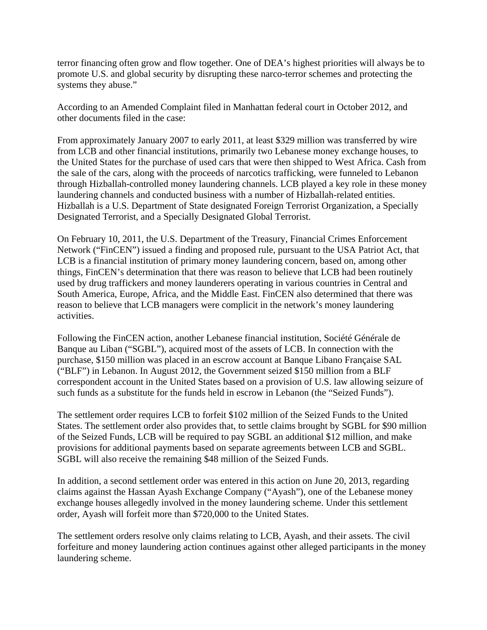terror financing often grow and flow together. One of DEA's highest priorities will always be to promote U.S. and global security by disrupting these narco-terror schemes and protecting the systems they abuse."

According to an Amended Complaint filed in Manhattan federal court in October 2012, and other documents filed in the case:

From approximately January 2007 to early 2011, at least \$329 million was transferred by wire from LCB and other financial institutions, primarily two Lebanese money exchange houses, to the United States for the purchase of used cars that were then shipped to West Africa. Cash from the sale of the cars, along with the proceeds of narcotics trafficking, were funneled to Lebanon through Hizballah-controlled money laundering channels. LCB played a key role in these money laundering channels and conducted business with a number of Hizballah-related entities. Hizballah is a U.S. Department of State designated Foreign Terrorist Organization, a Specially Designated Terrorist, and a Specially Designated Global Terrorist.

On February 10, 2011, the U.S. Department of the Treasury, Financial Crimes Enforcement Network ("FinCEN") issued a finding and proposed rule, pursuant to the USA Patriot Act, that LCB is a financial institution of primary money laundering concern, based on, among other things, FinCEN's determination that there was reason to believe that LCB had been routinely used by drug traffickers and money launderers operating in various countries in Central and South America, Europe, Africa, and the Middle East. FinCEN also determined that there was reason to believe that LCB managers were complicit in the network's money laundering activities.

Following the FinCEN action, another Lebanese financial institution, Société Générale de Banque au Liban ("SGBL"), acquired most of the assets of LCB. In connection with the purchase, \$150 million was placed in an escrow account at Banque Libano Française SAL ("BLF") in Lebanon. In August 2012, the Government seized \$150 million from a BLF correspondent account in the United States based on a provision of U.S. law allowing seizure of such funds as a substitute for the funds held in escrow in Lebanon (the "Seized Funds").

The settlement order requires LCB to forfeit \$102 million of the Seized Funds to the United States. The settlement order also provides that, to settle claims brought by SGBL for \$90 million of the Seized Funds, LCB will be required to pay SGBL an additional \$12 million, and make provisions for additional payments based on separate agreements between LCB and SGBL. SGBL will also receive the remaining \$48 million of the Seized Funds.

In addition, a second settlement order was entered in this action on June 20, 2013, regarding claims against the Hassan Ayash Exchange Company ("Ayash"), one of the Lebanese money exchange houses allegedly involved in the money laundering scheme. Under this settlement order, Ayash will forfeit more than \$720,000 to the United States.

The settlement orders resolve only claims relating to LCB, Ayash, and their assets. The civil forfeiture and money laundering action continues against other alleged participants in the money laundering scheme.